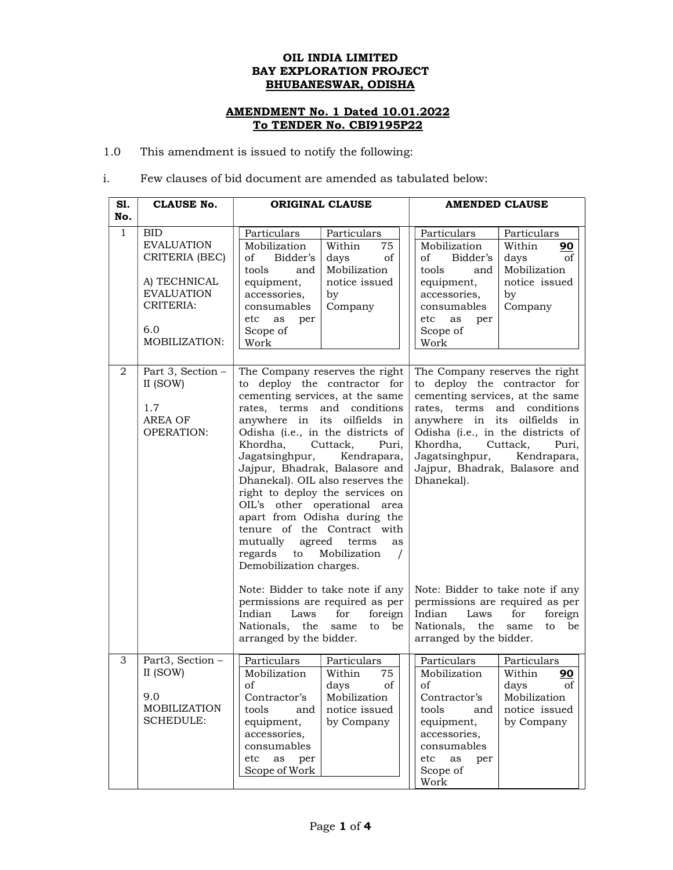## OIL INDIA LIMITED BAY EXPLORATION PROJECT BHUBANESWAR, ODISHA

## AMENDMENT No. 1 Dated 10.01.2022 To TENDER No. CBI9195P22

1.0 This amendment is issued to notify the following:

## i. Few clauses of bid document are amended as tabulated below:

| S1.<br>No.     | <b>CLAUSE No.</b>                                                                                                           | <b>ORIGINAL CLAUSE</b>                                                                                                                                                                                                                                                                                                                                                                                                                                                                                                                                                                         | <b>AMENDED CLAUSE</b>                                                                                                                                                                                                                                                                                                     |
|----------------|-----------------------------------------------------------------------------------------------------------------------------|------------------------------------------------------------------------------------------------------------------------------------------------------------------------------------------------------------------------------------------------------------------------------------------------------------------------------------------------------------------------------------------------------------------------------------------------------------------------------------------------------------------------------------------------------------------------------------------------|---------------------------------------------------------------------------------------------------------------------------------------------------------------------------------------------------------------------------------------------------------------------------------------------------------------------------|
| $\mathbf{1}$   | <b>BID</b><br><b>EVALUATION</b><br>CRITERIA (BEC)<br>A) TECHNICAL<br><b>EVALUATION</b><br>CRITERIA:<br>6.0<br>MOBILIZATION: | Particulars<br>Particulars<br>Mobilization<br>Within<br>75<br><sub>of</sub><br>Bidder's<br>days<br>of<br>Mobilization<br>tools<br>and<br>equipment,<br>notice issued<br>accessories,<br>by<br>Company<br>consumables<br>etc<br>as<br>per<br>Scope of<br>Work                                                                                                                                                                                                                                                                                                                                   | Particulars<br>Particulars<br>Mobilization<br>Within<br>90<br>Bidder's<br>days<br>of<br>οf<br>Mobilization<br>and<br>tools<br>equipment,<br>notice issued<br>accessories,<br>by<br>Company<br>consumables<br>etc<br>as<br>per<br>Scope of<br>Work                                                                         |
| $\overline{2}$ | Part 3, Section -<br>II (SOW)<br>1.7<br><b>AREA OF</b><br><b>OPERATION:</b>                                                 | The Company reserves the right<br>to deploy the contractor for<br>cementing services, at the same<br>rates, terms<br>and conditions<br>anywhere in its oilfields in<br>Odisha (i.e., in the districts of<br>Cuttack,<br>Khordha,<br>Puri.<br>Jagatsinghpur,<br>Kendrapara,<br>Jajpur, Bhadrak, Balasore and<br>Dhanekal). OIL also reserves the<br>right to deploy the services on<br>OIL's other operational area<br>apart from Odisha during the<br>tenure of the Contract with<br>mutually<br>agreed<br>terms<br>as<br>regards<br>Mobilization<br>to<br>$\prime$<br>Demobilization charges. | The Company reserves the right<br>to deploy the contractor for<br>cementing services, at the same<br>and conditions<br>rates, terms<br>anywhere in its oilfields in<br>Odisha (i.e., in the districts of<br>Cuttack,<br>Khordha,<br>Puri,<br>Jagatsinghpur,<br>Kendrapara,<br>Jajpur, Bhadrak, Balasore and<br>Dhanekal). |
|                |                                                                                                                             | Note: Bidder to take note if any<br>permissions are required as per<br>Indian<br>Laws<br>for<br>foreign<br>Nationals,<br>the<br>be<br>same<br>to<br>arranged by the bidder.                                                                                                                                                                                                                                                                                                                                                                                                                    | Note: Bidder to take note if any<br>permissions are required as per<br>Indian<br>Laws<br>for<br>foreign<br>Nationals,<br>the<br>same<br>to<br>be<br>arranged by the bidder.                                                                                                                                               |
| 3              | Part3, Section -<br>II (SOW)<br>9.0<br>MOBILIZATION<br><b>SCHEDULE:</b>                                                     | Particulars<br>Particulars<br>Mobilization<br>Within<br>75<br>of<br>$_{\rm of}$<br>days<br>Contractor's<br>Mobilization<br>tools<br>notice issued<br>and<br>equipment,<br>by Company<br>accessories,<br>consumables<br>etc<br>as<br>per<br>Scope of Work                                                                                                                                                                                                                                                                                                                                       | Particulars<br>Particulars<br>Mobilization<br>Within<br><u>90</u><br>of<br>days<br>of<br>Contractor's<br>Mobilization<br>tools<br>notice issued<br>and<br>equipment,<br>by Company<br>accessories,<br>consumables<br>etc<br>as<br>per<br>Scope of<br>Work                                                                 |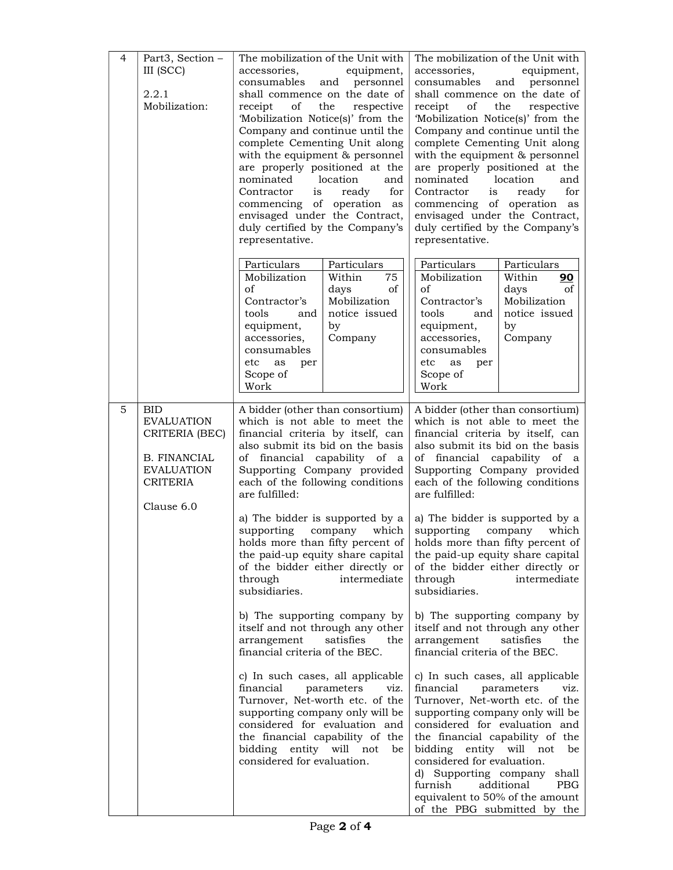| $\overline{4}$ | Part3, Section -<br>III (SCC)<br>2.2.1<br>Mobilization:                                                                        | The mobilization of the Unit with<br>accessories.<br>equipment,<br>consumables and personnel<br>shall commence on the date of<br>receipt of<br>the<br>respective<br>'Mobilization Notice(s)' from the<br>Company and continue until the<br>complete Cementing Unit along<br>with the equipment & personnel<br>are properly positioned at the<br>nominated location<br>and<br>for<br>Contractor<br>is<br>ready<br>commencing of operation as<br>envisaged under the Contract,<br>duly certified by the Company's<br>representative.                                                                                                                                                                                                                                                                                                                                          | The mobilization of the Unit with<br>accessories,<br>equipment,<br>consumables<br>and personnel<br>shall commence on the date of<br>receipt<br>of<br>the<br>respective<br>'Mobilization Notice(s)' from the<br>Company and continue until the<br>complete Cementing Unit along<br>with the equipment & personnel<br>are properly positioned at the<br>nominated<br>location<br>and<br>for<br>Contractor<br>is<br>ready<br>commencing of operation as<br>envisaged under the Contract,<br>duly certified by the Company's<br>representative.                                                                                                                                                                                                                                                                                                                                                                                                                                                                                                                                                     |
|----------------|--------------------------------------------------------------------------------------------------------------------------------|-----------------------------------------------------------------------------------------------------------------------------------------------------------------------------------------------------------------------------------------------------------------------------------------------------------------------------------------------------------------------------------------------------------------------------------------------------------------------------------------------------------------------------------------------------------------------------------------------------------------------------------------------------------------------------------------------------------------------------------------------------------------------------------------------------------------------------------------------------------------------------|-------------------------------------------------------------------------------------------------------------------------------------------------------------------------------------------------------------------------------------------------------------------------------------------------------------------------------------------------------------------------------------------------------------------------------------------------------------------------------------------------------------------------------------------------------------------------------------------------------------------------------------------------------------------------------------------------------------------------------------------------------------------------------------------------------------------------------------------------------------------------------------------------------------------------------------------------------------------------------------------------------------------------------------------------------------------------------------------------|
|                |                                                                                                                                | Particulars<br>Particulars<br>Mobilization<br>Within<br>75<br>of<br>days<br>of<br>Mobilization<br>Contractor's<br>notice issued<br>tools<br>and<br>equipment,<br>by<br>accessories,<br>Company<br>consumables<br>etc<br>as<br>per<br>Scope of<br>Work                                                                                                                                                                                                                                                                                                                                                                                                                                                                                                                                                                                                                       | Particulars<br>Particulars<br>Mobilization<br>Within<br><u>90</u><br>of<br>days<br>οf<br>Mobilization<br>Contractor's<br>notice issued<br>tools<br>and<br>equipment,<br>by<br>Company<br>accessories,<br>consumables<br>etc<br>as<br>per<br>Scope of<br>Work                                                                                                                                                                                                                                                                                                                                                                                                                                                                                                                                                                                                                                                                                                                                                                                                                                    |
| 5              | <b>BID</b><br><b>EVALUATION</b><br>CRITERIA (BEC)<br><b>B. FINANCIAL</b><br><b>EVALUATION</b><br><b>CRITERIA</b><br>Clause 6.0 | A bidder (other than consortium)<br>which is not able to meet the<br>financial criteria by itself, can<br>also submit its bid on the basis<br>of financial capability of a<br>Supporting Company provided<br>each of the following conditions<br>are fulfilled:<br>a) The bidder is supported by a<br>supporting company which<br>the paid-up equity share capital<br>of the bidder either directly or<br>through<br>intermediate<br>subsidiaries.<br>b) The supporting company by<br>itself and not through any other<br>arrangement<br>satisfies<br>the<br>financial criteria of the BEC.<br>c) In such cases, all applicable<br>financial<br>parameters<br>viz.<br>Turnover, Net-worth etc. of the<br>supporting company only will be<br>considered for evaluation and<br>the financial capability of the<br>bidding entity will not<br>be<br>considered for evaluation. | A bidder (other than consortium)<br>which is not able to meet the<br>financial criteria by itself, can<br>also submit its bid on the basis<br>of financial capability of a<br>Supporting Company provided<br>each of the following conditions<br>are fulfilled:<br>a) The bidder is supported by a<br>supporting company<br>which<br>holds more than fifty percent of   holds more than fifty percent of  <br>the paid-up equity share capital<br>of the bidder either directly or<br>through<br>intermediate<br>subsidiaries.<br>b) The supporting company by<br>itself and not through any other<br>arrangement<br>satisfies<br>the<br>financial criteria of the BEC.<br>c) In such cases, all applicable<br>financial<br>parameters<br>viz.<br>Turnover, Net-worth etc. of the<br>supporting company only will be<br>considered for evaluation and<br>the financial capability of the<br>bidding entity will not<br>be<br>considered for evaluation.<br>d) Supporting company shall<br>furnish<br>additional<br><b>PBG</b><br>equivalent to 50% of the amount<br>of the PBG submitted by the |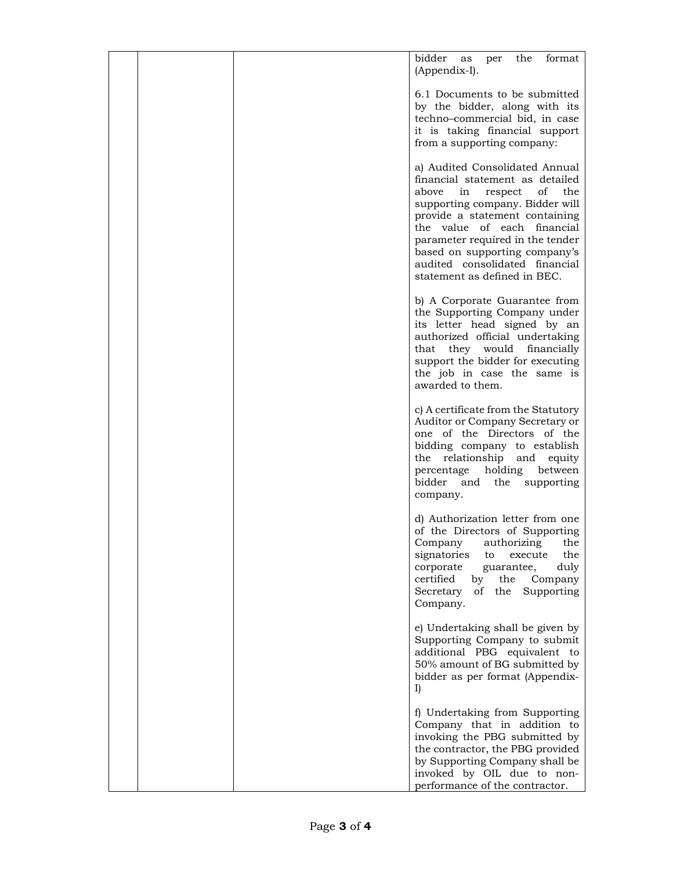|  | bidder<br>format<br>the<br>per<br>as<br>(Appendix-I).                                                                                                                                                                                                                                                                                               |
|--|-----------------------------------------------------------------------------------------------------------------------------------------------------------------------------------------------------------------------------------------------------------------------------------------------------------------------------------------------------|
|  | 6.1 Documents to be submitted<br>by the bidder, along with its<br>techno-commercial bid, in case<br>it is taking financial support<br>from a supporting company:                                                                                                                                                                                    |
|  | a) Audited Consolidated Annual<br>financial statement as detailed<br>the<br>above<br>of<br>in<br>respect<br>supporting company. Bidder will<br>provide a statement containing<br>the value of each financial<br>parameter required in the tender<br>based on supporting company's<br>audited consolidated financial<br>statement as defined in BEC. |
|  | b) A Corporate Guarantee from<br>the Supporting Company under<br>its letter head signed by an<br>authorized official undertaking<br>that they would financially<br>support the bidder for executing<br>the job in case the same is<br>awarded to them.                                                                                              |
|  | c) A certificate from the Statutory<br>Auditor or Company Secretary or<br>one of the Directors of the<br>bidding company to establish<br>the relationship and equity<br>holding<br>between<br>percentage<br>bidder and<br>the supporting<br>company.                                                                                                |
|  | d) Authorization letter from one<br>of the Directors of Supporting<br>Company authorizing the<br>signatories<br>the<br>to execute<br>duly<br>corporate<br>guarantee,<br>certified<br>by<br>the<br>Company<br>of the Supporting<br>Secretary<br>Company.                                                                                             |
|  | e) Undertaking shall be given by<br>Supporting Company to submit<br>additional PBG equivalent to<br>50% amount of BG submitted by<br>bidder as per format (Appendix-<br>I)                                                                                                                                                                          |
|  | f) Undertaking from Supporting<br>Company that in addition to<br>invoking the PBG submitted by<br>the contractor, the PBG provided<br>by Supporting Company shall be<br>invoked by OIL due to non-<br>performance of the contractor.                                                                                                                |